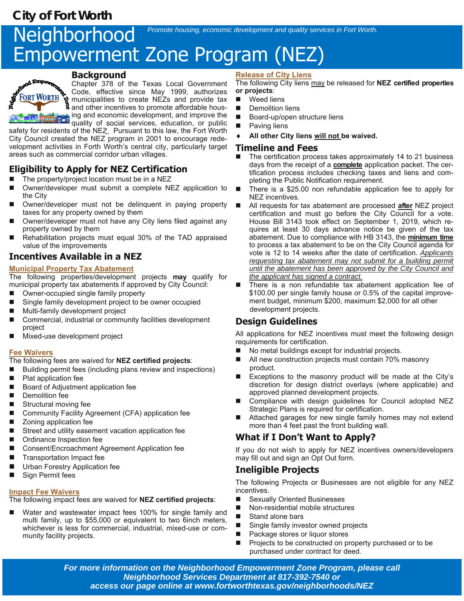## **Neighborhood** Empowerment Zone Program (NEZ) *Promote housing, economic development and quality services in Fort Worth.* **City of Fort Worth**



**Background** 

Chapter 378 of the Texas Local Government Code, effective since May 1999, authorizes municipalities to create NEZs and provide tax and other incentives to promote affordable housing and economic development, and improve the

quality of social services, education, or public safety for residents of the NEZ. Pursuant to this law, the Fort Worth City Council created the NEZ program in 2001 to encourage redevelopment activities in Forth Worth's central city, particularly target

## **Eligibility to Apply for NEZ Certification**

The property/project location must be in a NEZ

areas such as commercial corridor urban villages.

- Owner/developer must submit a complete NEZ application to the City
- Owner/developer must not be delinquent in paying property taxes for any property owned by them
- Owner/developer must not have any City liens filed against any property owned by them
- Rehabilitation projects must equal 30% of the TAD appraised value of the improvements

## **Incentives Available in a NEZ**

### **Municipal Property Tax Abatement**

The following properties/development projects **may** qualify for municipal property tax abatements if approved by City Council:

- Owner-occupied single family property
- Single family development project to be owner occupied
- Multi-family development project
- Commercial, industrial or community facilities development project
- Mixed-use development project

### **Fee Waivers**

### The following fees are waived for **NEZ certified projects**:

- Building permit fees (including plans review and inspections)
- **Plat application fee**
- Board of Adjustment application fee
- **Demolition fee**
- Structural moving fee
- Community Facility Agreement (CFA) application fee
- Zoning application fee
- Street and utility easement vacation application fee
- Ordinance Inspection fee
- Consent/Encroachment Agreement Application fee
- **Transportation Impact fee**
- Urban Forestry Application fee
- Sign Permit fees

## **Impact Fee Waivers**

The following impact fees are waived for **NEZ certified projects**:

Water and wastewater impact fees 100% for single family and multi family, up to \$55,000 or equivalent to two 6inch meters, whichever is less for commercial, industrial, mixed-use or community facility projects.

### **Release of City Liens**

The following City liens may be released for **NEZ certified properties or projects**:

- Weed liens
- **Demolition liens**
- Board-up/open structure liens
- **Paving liens**
- **All other City liens will not be waived.**

### **Timeline and Fees**

- The certification process takes approximately 14 to 21 business days from the receipt of a **complete** application packet. The certification process includes checking taxes and liens and completing the Public Notification requirement.
- There is a \$25.00 non refundable application fee to apply for NEZ incentives.
- All requests for tax abatement are processed **after** NEZ project certification and must go before the City Council for a vote. House Bill 3143 took effect on September 1, 2019, which requires at least 30 days advance notice be given of the tax abatement. Due to compliance with HB 3143, the **minimum time**  to process a tax abatement to be on the City Council agenda for vote is 12 to 14 weeks after the date of certification. *Applicants requesting tax abatement may not submit for a building permit until the abatement has been approved by the City Council and the applicant has signed a contract.*
- There is a non refundable tax abatement application fee of \$100.00 per single family house or 0.5% of the capital improvement budget, minimum \$200, maximum \$2,000 for all other development projects.

## **Design Guidelines**

All applications for NEZ incentives must meet the following design requirements for certification.

- No metal buildings except for industrial projects.
- All new construction projects must contain 70% masonry product.
- Exceptions to the masonry product will be made at the City's discretion for design district overlays (where applicable) and approved planned development projects.
- Compliance with design guidelines for Council adopted NEZ Strategic Plans is required for certification.
- Attached garages for new single family homes may not extend more than 4 feet past the front building wall.

## **What if I Don't Want to Apply?**

If you do not wish to apply for NEZ incentives owners/developers may fill out and sign an Opt Out form.

## **Ineligible Projects**

The following Projects or Businesses are not eligible for any NEZ incentives.

- Sexually Oriented Businesses
- Non-residential mobile structures
- Stand alone bars
- Single family investor owned projects
- Package stores or liquor stores
- **Projects to be constructed on property purchased or to be** purchased under contract for deed.

*For more information on the Neighborhood Empowerment Zone Program, please call Neighborhood Services Department at 817-392-7540 or access our page online at www.fortworthtexas.gov/neighborhoods/NEZ*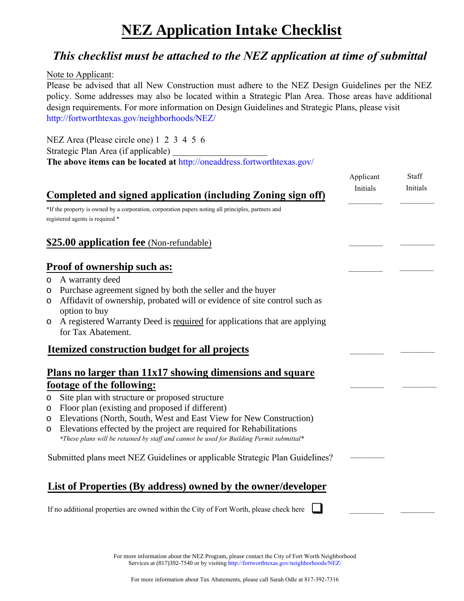# **NEZ Application Intake Checklist**

## *This checklist must be attached to the NEZ application at time of submittal*

### Note to Applicant:

Please be advised that all New Construction must adhere to the NEZ Design Guidelines per the NEZ policy. Some addresses may also be located within a Strategic Plan Area. Those areas have additional design requirements. For more information on Design Guidelines and Strategic Plans, please visit http://fortworthtexas.gov/neighborhoods/NEZ/

NEZ Area (Please circle one) 1 2 3 4 5 6 Strategic Plan Area (if applicable) **The above items can be located at** http://oneaddress.fortworthtexas.gov/

|                        | Completed and signed application (including Zoning sign off)                                                                                                                                                                                                                                                                                                            | Applicant<br>Initials | Staff<br>Initials |
|------------------------|-------------------------------------------------------------------------------------------------------------------------------------------------------------------------------------------------------------------------------------------------------------------------------------------------------------------------------------------------------------------------|-----------------------|-------------------|
|                        | *If the property is owned by a corporation, corporation papers noting all principles, partners and<br>registered agents is required *                                                                                                                                                                                                                                   |                       |                   |
|                        | \$25.00 application fee (Non-refundable)                                                                                                                                                                                                                                                                                                                                |                       |                   |
|                        | Proof of ownership such as:                                                                                                                                                                                                                                                                                                                                             |                       |                   |
| O<br>O<br>O<br>$\circ$ | A warranty deed<br>Purchase agreement signed by both the seller and the buyer<br>Affidavit of ownership, probated will or evidence of site control such as<br>option to buy<br>A registered Warranty Deed is required for applications that are applying<br>for Tax Abatement.                                                                                          |                       |                   |
|                        | Itemized construction budget for all projects                                                                                                                                                                                                                                                                                                                           |                       |                   |
|                        | Plans no larger than 11x17 showing dimensions and square                                                                                                                                                                                                                                                                                                                |                       |                   |
| O<br>O<br>O<br>O       | footage of the following:<br>Site plan with structure or proposed structure<br>Floor plan (existing and proposed if different)<br>Elevations (North, South, West and East View for New Construction)<br>Elevations effected by the project are required for Rehabilitations<br>*These plans will be retained by staff and cannot be used for Building Permit submittal* |                       |                   |
|                        | Submitted plans meet NEZ Guidelines or applicable Strategic Plan Guidelines?                                                                                                                                                                                                                                                                                            |                       |                   |
|                        | List of Properties (By address) owned by the owner/developer                                                                                                                                                                                                                                                                                                            |                       |                   |
|                        | If no additional properties are owned within the City of Fort Worth, please check here                                                                                                                                                                                                                                                                                  |                       |                   |

For more information [about the NEZ Program, please contact](http://fortworthtexas.gov/neighborhoods/NEZ/) the City of Fort Worth Neighborhood Services at (817)392-7540 or by visiting http://fortworthtexas.gov/neighborhoods/NEZ/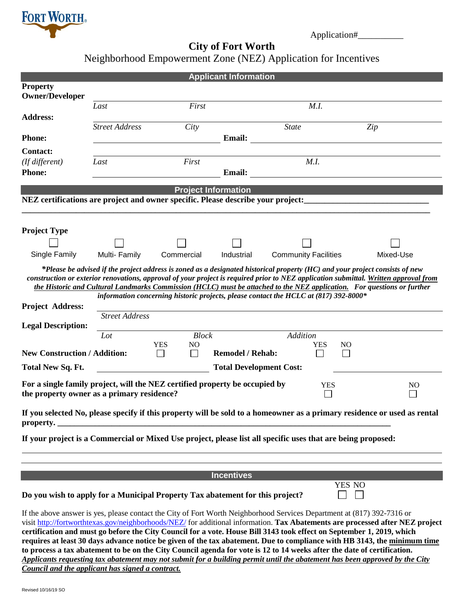

Application#\_\_\_\_\_\_\_\_\_\_

### **City of Fort Worth**

Neighborhood Empowerment Zone (NEZ) Application for Incentives

|                                                                                                                         |                       |                                                  | <b>Applicant Information</b>   |                                                                                                                              |                |                                                                                                                                      |
|-------------------------------------------------------------------------------------------------------------------------|-----------------------|--------------------------------------------------|--------------------------------|------------------------------------------------------------------------------------------------------------------------------|----------------|--------------------------------------------------------------------------------------------------------------------------------------|
| <b>Property</b>                                                                                                         |                       |                                                  |                                |                                                                                                                              |                |                                                                                                                                      |
| <b>Owner/Developer</b>                                                                                                  |                       |                                                  |                                |                                                                                                                              |                |                                                                                                                                      |
|                                                                                                                         | Last                  | First                                            |                                | M.I.                                                                                                                         |                |                                                                                                                                      |
| <b>Address:</b>                                                                                                         | <b>Street Address</b> | City                                             |                                | <b>State</b>                                                                                                                 |                | Zip                                                                                                                                  |
| <b>Phone:</b>                                                                                                           |                       |                                                  | <b>Email:</b>                  |                                                                                                                              |                |                                                                                                                                      |
|                                                                                                                         |                       |                                                  |                                |                                                                                                                              |                |                                                                                                                                      |
| <b>Contact:</b>                                                                                                         | Last                  | First                                            |                                | M.I.                                                                                                                         |                |                                                                                                                                      |
| (If different)<br><b>Phone:</b>                                                                                         |                       |                                                  | <b>Email:</b>                  |                                                                                                                              |                |                                                                                                                                      |
|                                                                                                                         |                       |                                                  |                                | <u> 1989 - Johann Stein, mars and de Branch and de Branch and de Branch and de Branch and de Branch and de Branch</u>        |                |                                                                                                                                      |
|                                                                                                                         |                       |                                                  | <b>Project Information</b>     |                                                                                                                              |                |                                                                                                                                      |
| NEZ certifications are project and owner specific. Please describe your project:                                        |                       |                                                  |                                |                                                                                                                              |                |                                                                                                                                      |
|                                                                                                                         |                       |                                                  |                                |                                                                                                                              |                |                                                                                                                                      |
| <b>Project Type</b>                                                                                                     |                       |                                                  |                                |                                                                                                                              |                |                                                                                                                                      |
|                                                                                                                         |                       |                                                  |                                |                                                                                                                              |                |                                                                                                                                      |
|                                                                                                                         |                       |                                                  |                                |                                                                                                                              |                |                                                                                                                                      |
| Single Family                                                                                                           | Multi-Family          | Commercial                                       | Industrial                     | <b>Community Facilities</b>                                                                                                  |                | Mixed-Use                                                                                                                            |
|                                                                                                                         |                       |                                                  |                                | *Please be advised if the project address is zoned as a designated historical property (HC) and your project consists of new |                |                                                                                                                                      |
|                                                                                                                         |                       |                                                  |                                |                                                                                                                              |                | construction or exterior renovations, approval of your project is required prior to NEZ application submittal. Written approval from |
|                                                                                                                         |                       |                                                  |                                | information concerning historic projects, please contact the HCLC at $(817)$ 392-8000*                                       |                | the Historic and Cultural Landmarks Commission (HCLC) must be attached to the NEZ application. For questions or further              |
| <b>Project Address:</b>                                                                                                 |                       |                                                  |                                |                                                                                                                              |                |                                                                                                                                      |
|                                                                                                                         | <b>Street Address</b> |                                                  |                                |                                                                                                                              |                |                                                                                                                                      |
| <b>Legal Description:</b>                                                                                               |                       |                                                  |                                |                                                                                                                              |                |                                                                                                                                      |
|                                                                                                                         | Lot                   | <b>Block</b>                                     |                                | <b>Addition</b>                                                                                                              |                |                                                                                                                                      |
| <b>New Construction / Addition:</b>                                                                                     |                       | <b>YES</b><br>N <sub>O</sub><br>$\Box$<br>$\Box$ | <b>Remodel / Rehab:</b>        | YES                                                                                                                          | N <sub>O</sub> |                                                                                                                                      |
|                                                                                                                         |                       |                                                  |                                |                                                                                                                              |                |                                                                                                                                      |
| <b>Total New Sq. Ft.</b>                                                                                                |                       |                                                  | <b>Total Development Cost:</b> |                                                                                                                              |                |                                                                                                                                      |
| For a single family project, will the NEZ certified property be occupied by                                             |                       |                                                  |                                |                                                                                                                              | <b>YES</b>     | N <sub>O</sub>                                                                                                                       |
| the property owner as a primary residence?                                                                              |                       |                                                  |                                |                                                                                                                              |                |                                                                                                                                      |
|                                                                                                                         |                       |                                                  |                                |                                                                                                                              |                |                                                                                                                                      |
|                                                                                                                         |                       |                                                  |                                |                                                                                                                              |                | If you selected No, please specify if this property will be sold to a homeowner as a primary residence or used as rental             |
| If your project is a Commercial or Mixed Use project, please list all specific uses that are being proposed:            |                       |                                                  |                                |                                                                                                                              |                |                                                                                                                                      |
|                                                                                                                         |                       |                                                  |                                |                                                                                                                              |                |                                                                                                                                      |
|                                                                                                                         |                       |                                                  |                                |                                                                                                                              |                |                                                                                                                                      |
|                                                                                                                         |                       |                                                  | <b>Incentives</b>              |                                                                                                                              |                |                                                                                                                                      |
|                                                                                                                         |                       |                                                  |                                |                                                                                                                              | YES NO         |                                                                                                                                      |
| Do you wish to apply for a Municipal Property Tax abatement for this project?                                           |                       |                                                  |                                |                                                                                                                              |                |                                                                                                                                      |
|                                                                                                                         |                       |                                                  |                                |                                                                                                                              |                |                                                                                                                                      |
| If the above answer is yes, please contact the City of Fort Worth Neighborhood Services Department at (817) 392-7316 or |                       |                                                  |                                |                                                                                                                              |                |                                                                                                                                      |
| certification and must go before the City Council for a vote. House Bill 3143 took effect on September 1, 2019, which   |                       |                                                  |                                |                                                                                                                              |                | visit http://fortworthtexas.gov/neighborhoods/NEZ/ for additional information. Tax Abatements are processed after NEZ project        |
|                                                                                                                         |                       |                                                  |                                |                                                                                                                              |                |                                                                                                                                      |

**requires at least 30 days advance notice be given of the tax abatement. Due to compliance with HB 3143, the minimum time to process a tax abatement to be on the City Council agenda for vote is 12 to 14 weeks after the date of certification.**  *Applicants requesting tax abatement may not submit for a building permit until the abatement has been approved by the City Council and the applicant has signed a contract.*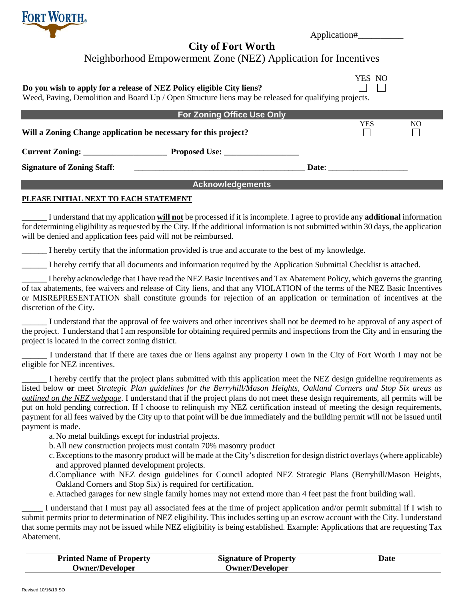

| Application# |  |
|--------------|--|
|              |  |

## **City of Fort Worth**

| Neighborhood Empowerment Zone (NEZ) Application for Incentives |  |  |  |
|----------------------------------------------------------------|--|--|--|
|                                                                |  |  |  |

|                                                                                                       | YES NO        |  |
|-------------------------------------------------------------------------------------------------------|---------------|--|
| Do you wish to apply for a release of NEZ Policy eligible City liens?                                 | $\Box$ $\Box$ |  |
| Weed, Paving, Demolition and Board Up / Open Structure liens may be released for qualifying projects. |               |  |

|                                                                 | <b>For Zoning Office Use Only</b> |                                                                                                                                                                                                                                |                 |
|-----------------------------------------------------------------|-----------------------------------|--------------------------------------------------------------------------------------------------------------------------------------------------------------------------------------------------------------------------------|-----------------|
| Will a Zoning Change application be necessary for this project? |                                   | <b>YES</b>                                                                                                                                                                                                                     | NO <sub>1</sub> |
| Current Zoning:                                                 |                                   |                                                                                                                                                                                                                                |                 |
| <b>Signature of Zoning Staff:</b>                               |                                   | Date: the contract of the contract of the contract of the contract of the contract of the contract of the contract of the contract of the contract of the contract of the contract of the contract of the contract of the cont |                 |
|                                                                 | <b>Acknowledgements</b>           |                                                                                                                                                                                                                                |                 |

### **PLEASE INITIAL NEXT TO EACH STATEMENT**

\_\_\_\_\_\_ I understand that my application **will not** be processed if it is incomplete. I agree to provide any **additional** information for determining eligibility as requested by the City. If the additional information is not submitted within 30 days, the application will be denied and application fees paid will not be reimbursed.

\_\_\_\_\_\_ I hereby certify that the information provided is true and accurate to the best of my knowledge.

\_\_\_\_\_\_ I hereby certify that all documents and information required by the Application Submittal Checklist is attached.

\_\_\_\_\_\_ I hereby acknowledge that I have read the NEZ Basic Incentives and Tax Abatement Policy, which governs the granting of tax abatements, fee waivers and release of City liens, and that any VIOLATION of the terms of the NEZ Basic Incentives or MISREPRESENTATION shall constitute grounds for rejection of an application or termination of incentives at the discretion of the City.

\_\_\_\_\_\_ I understand that the approval of fee waivers and other incentives shall not be deemed to be approval of any aspect of the project. I understand that I am responsible for obtaining required permits and inspections from the City and in ensuring the project is located in the correct zoning district.

\_\_\_\_\_\_ I understand that if there are taxes due or liens against any property I own in the City of Fort Worth I may not be eligible for NEZ incentives.

I hereby certify that the project plans submitted with this application meet the NEZ design guideline requirements as listed below **or** meet *Strategic Plan guidelines for the Berryhill/Mason Heights, Oakland Corners and Stop Six areas as outlined on the NEZ webpage*. I understand that if the project plans do not meet these design requirements, all permits will be put on hold pending correction. If I choose to relinquish my NEZ certification instead of meeting the design requirements, payment for all fees waived by the City up to that point will be due immediately and the building permit will not be issued until payment is made.

a.No metal buildings except for industrial projects.

- b.All new construction projects must contain 70% masonry product
- c.Exceptions to the masonry product will be made at the City's discretion for design district overlays (where applicable) and approved planned development projects.
- d.Compliance with NEZ design guidelines for Council adopted NEZ Strategic Plans (Berryhill/Mason Heights, Oakland Corners and Stop Six) is required for certification.
- e.Attached garages for new single family homes may not extend more than 4 feet past the front building wall.

I understand that I must pay all associated fees at the time of project application and/or permit submittal if I wish to submit permits prior to determination of NEZ eligibility. This includes setting up an escrow account with the City. I understand that some permits may not be issued while NEZ eligibility is being established. Example: Applications that are requesting Tax Abatement.

| <b>Printed Name of Property</b> | <b>Signature of Property</b> | Date |
|---------------------------------|------------------------------|------|
| <b>Owner/Developer</b>          | <b>Owner/Developer</b>       |      |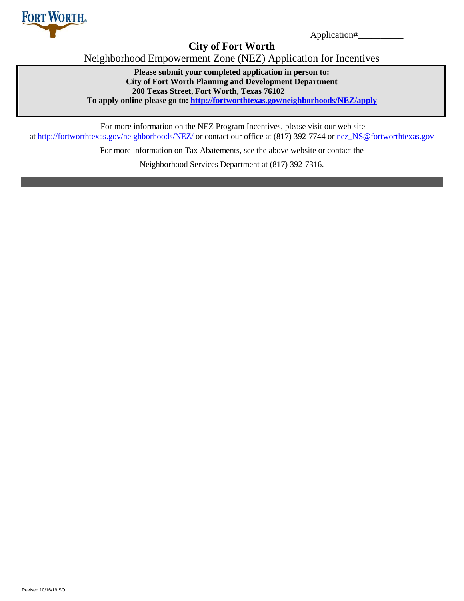

Application#\_\_\_\_\_\_\_\_\_\_

**City of Fort Worth**

Neighborhood Empowerment Zone (NEZ) Application for Incentives

**Please submit your completed application in person to: City of Fort Worth Planning and Development Department 200 Texas Street, Fort Worth, Texas 76102 To apply online please go to:<http://fortworthtexas.gov/neighborhoods/NEZ/apply>**

For more information on the NEZ Program Incentives, please visit our web site at<http://fortworthtexas.gov/neighborhoods/NEZ/> or contact our office at (817) 392-7744 or [nez\\_NS@fortworthtexas.gov](mailto:nez_NS@fortworthtexas.gov)

For more information on Tax Abatements, see the above website or contact the

Neighborhood Services Department at (817) 392-7316.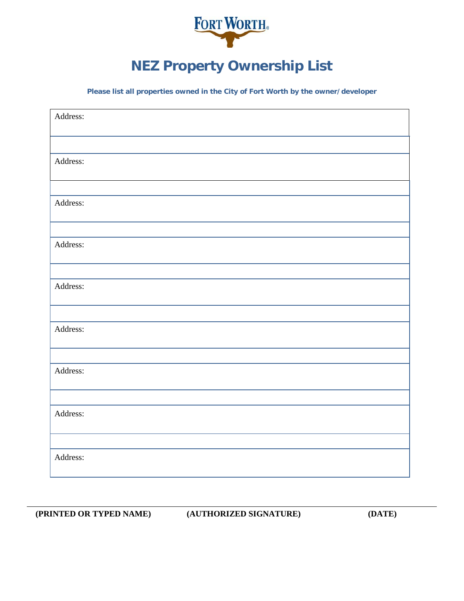

# **NEZ Property Ownership List**

**Please list all properties owned in the City of Fort Worth by the owner/developer**

| Address: |  |  |  |
|----------|--|--|--|
|          |  |  |  |
| Address: |  |  |  |
| Address: |  |  |  |
| Address: |  |  |  |
|          |  |  |  |
| Address: |  |  |  |
| Address: |  |  |  |
| Address: |  |  |  |
| Address: |  |  |  |
|          |  |  |  |
| Address: |  |  |  |

**(PRINTED OR TYPED NAME) (AUTHORIZED SIGNATURE) (DATE)**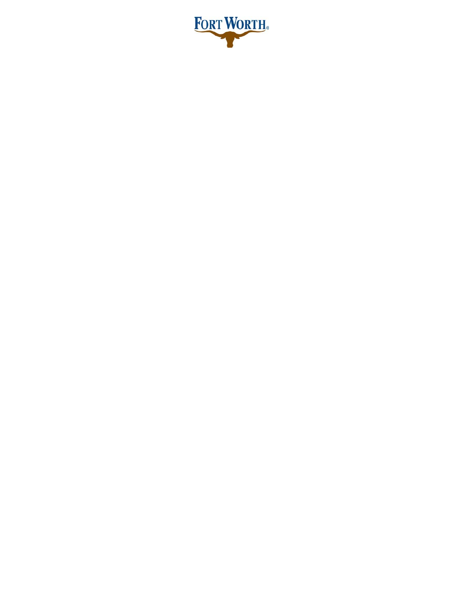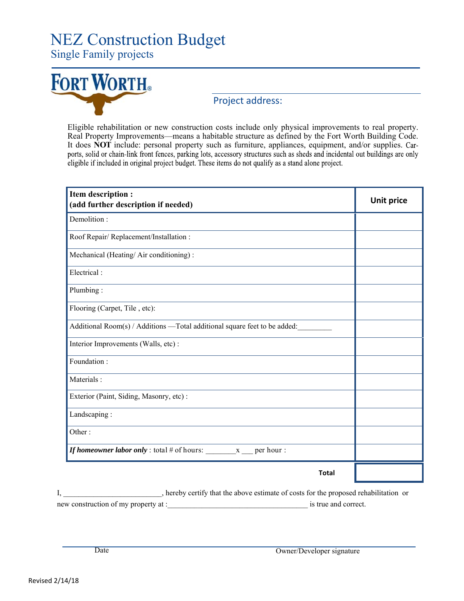# NEZ Construction Budget

Single Family projects



## Project address:

Eligible rehabilitation or new construction costs include only physical improvements to real property. Real Property Improvements—means a habitable structure as defined by the Fort Worth Building Code. It does **NOT** include: personal property such as furniture, appliances, equipment, and/or supplies. Carports, solid or chain-link front fences, parking lots, accessory structures such as sheds and incidental out buildings eligible if included in original project budget. These items do not qualify as a stand alone project.

| <b>Item description:</b><br>(add further description if needed)            | Unit price |
|----------------------------------------------------------------------------|------------|
| Demolition:                                                                |            |
| Roof Repair/ Replacement/Installation:                                     |            |
| Mechanical (Heating/Air conditioning):                                     |            |
| Electrical:                                                                |            |
| Plumbing:                                                                  |            |
| Flooring (Carpet, Tile, etc):                                              |            |
| Additional Room(s) / Additions - Total additional square feet to be added: |            |
| Interior Improvements (Walls, etc):                                        |            |
| Foundation:                                                                |            |
| Materials:                                                                 |            |
| Exterior (Paint, Siding, Masonry, etc):                                    |            |
| Landscaping:                                                               |            |
| Other:                                                                     |            |
| If homeowner labor only: total # of hours: $\frac{x}{1 + x}$ per hour:     |            |
| <b>Total</b>                                                               |            |

I, \_\_\_\_\_\_\_\_\_\_\_\_\_\_\_\_\_\_\_\_\_\_\_\_\_\_, hereby certify that the above estimate of costs for the proposed rehabilitation or new construction of my property at :  $\frac{1}{2}$  is true and correct.